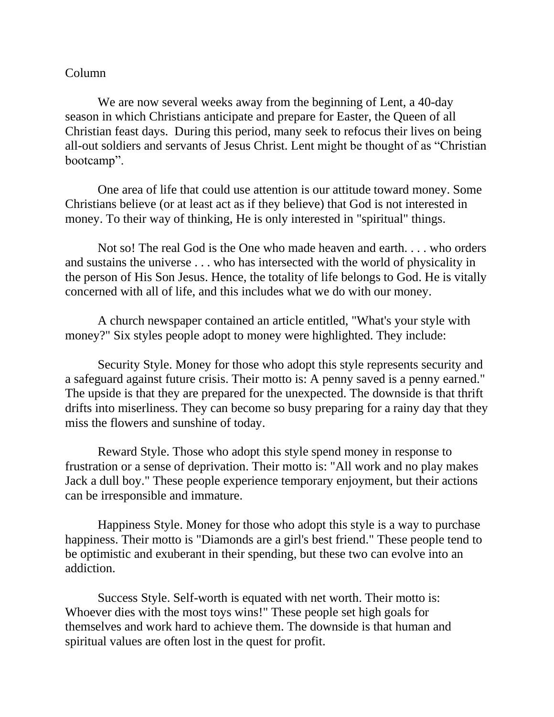## Column

We are now several weeks away from the beginning of Lent, a 40-day season in which Christians anticipate and prepare for Easter, the Queen of all Christian feast days. During this period, many seek to refocus their lives on being all-out soldiers and servants of Jesus Christ. Lent might be thought of as "Christian bootcamp".

One area of life that could use attention is our attitude toward money. Some Christians believe (or at least act as if they believe) that God is not interested in money. To their way of thinking, He is only interested in "spiritual" things.

Not so! The real God is the One who made heaven and earth. . . . who orders and sustains the universe . . . who has intersected with the world of physicality in the person of His Son Jesus. Hence, the totality of life belongs to God. He is vitally concerned with all of life, and this includes what we do with our money.

A church newspaper contained an article entitled, "What's your style with money?" Six styles people adopt to money were highlighted. They include:

Security Style. Money for those who adopt this style represents security and a safeguard against future crisis. Their motto is: A penny saved is a penny earned." The upside is that they are prepared for the unexpected. The downside is that thrift drifts into miserliness. They can become so busy preparing for a rainy day that they miss the flowers and sunshine of today.

Reward Style. Those who adopt this style spend money in response to frustration or a sense of deprivation. Their motto is: "All work and no play makes Jack a dull boy." These people experience temporary enjoyment, but their actions can be irresponsible and immature.

Happiness Style. Money for those who adopt this style is a way to purchase happiness. Their motto is "Diamonds are a girl's best friend." These people tend to be optimistic and exuberant in their spending, but these two can evolve into an addiction.

Success Style. Self-worth is equated with net worth. Their motto is: Whoever dies with the most toys wins!" These people set high goals for themselves and work hard to achieve them. The downside is that human and spiritual values are often lost in the quest for profit.